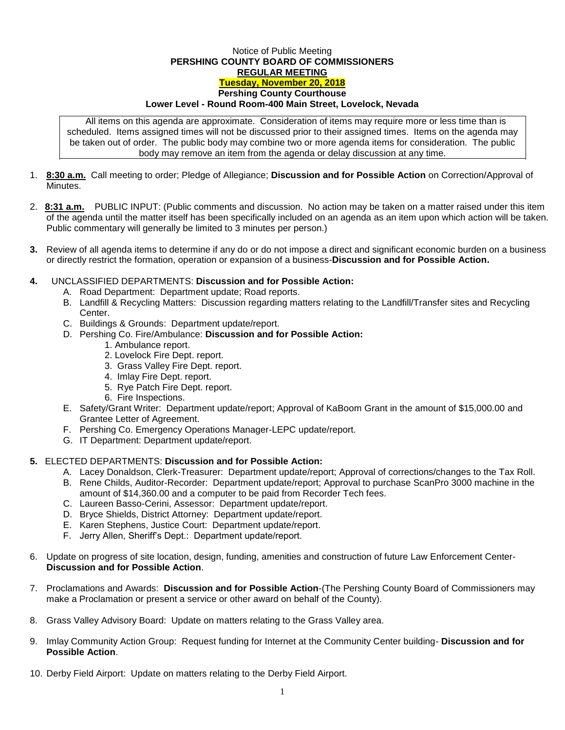## Notice of Public Meeting **PERSHING COUNTY BOARD OF COMMISSIONERS REGULAR MEETING Tuesday, November 20, 2018 Pershing County Courthouse Lower Level - Round Room-400 Main Street, Lovelock, Nevada**

All items on this agenda are approximate. Consideration of items may require more or less time than is scheduled. Items assigned times will not be discussed prior to their assigned times. Items on the agenda may be taken out of order. The public body may combine two or more agenda items for consideration. The public body may remove an item from the agenda or delay discussion at any time.

- 1. **8:30 a.m.** Call meeting to order; Pledge of Allegiance; **Discussion and for Possible Action** on Correction/Approval of **Minutes**
- 2. **8:31 a.m.** PUBLIC INPUT: (Public comments and discussion. No action may be taken on a matter raised under this item of the agenda until the matter itself has been specifically included on an agenda as an item upon which action will be taken. Public commentary will generally be limited to 3 minutes per person.)
- **3.** Review of all agenda items to determine if any do or do not impose a direct and significant economic burden on a business or directly restrict the formation, operation or expansion of a business-**Discussion and for Possible Action.**
- **4.** UNCLASSIFIED DEPARTMENTS: **Discussion and for Possible Action:**
	- A. Road Department: Department update; Road reports.
	- B. Landfill & Recycling Matters: Discussion regarding matters relating to the Landfill/Transfer sites and Recycling Center.
	- C. Buildings & Grounds: Department update/report.
	- D. Pershing Co. Fire/Ambulance: **Discussion and for Possible Action:**
		- 1. Ambulance report.
			- 2. Lovelock Fire Dept. report.
			- 3. Grass Valley Fire Dept. report.
			- 4. Imlay Fire Dept. report.
			- 5. Rye Patch Fire Dept. report.
			- 6. Fire Inspections.
	- E. Safety/Grant Writer: Department update/report; Approval of KaBoom Grant in the amount of \$15,000.00 and Grantee Letter of Agreement.
	- F. Pershing Co. Emergency Operations Manager-LEPC update/report.
	- G. IT Department: Department update/report.

## **5.** ELECTED DEPARTMENTS: **Discussion and for Possible Action:**

- A. Lacey Donaldson, Clerk-Treasurer: Department update/report; Approval of corrections/changes to the Tax Roll.
- B. Rene Childs, Auditor-Recorder: Department update/report; Approval to purchase ScanPro 3000 machine in the amount of \$14,360.00 and a computer to be paid from Recorder Tech fees.
- C. Laureen Basso-Cerini, Assessor: Department update/report.
- D. Bryce Shields, District Attorney: Department update/report.
- E. Karen Stephens, Justice Court: Department update/report.
- F. Jerry Allen, Sheriff's Dept.: Department update/report.
- 6. Update on progress of site location, design, funding, amenities and construction of future Law Enforcement Center-**Discussion and for Possible Action**.
- 7. Proclamations and Awards: **Discussion and for Possible Action**-(The Pershing County Board of Commissioners may make a Proclamation or present a service or other award on behalf of the County).
- 8. Grass Valley Advisory Board: Update on matters relating to the Grass Valley area.
- 9. Imlay Community Action Group: Request funding for Internet at the Community Center building- **Discussion and for Possible Action**.
- 10. Derby Field Airport: Update on matters relating to the Derby Field Airport.